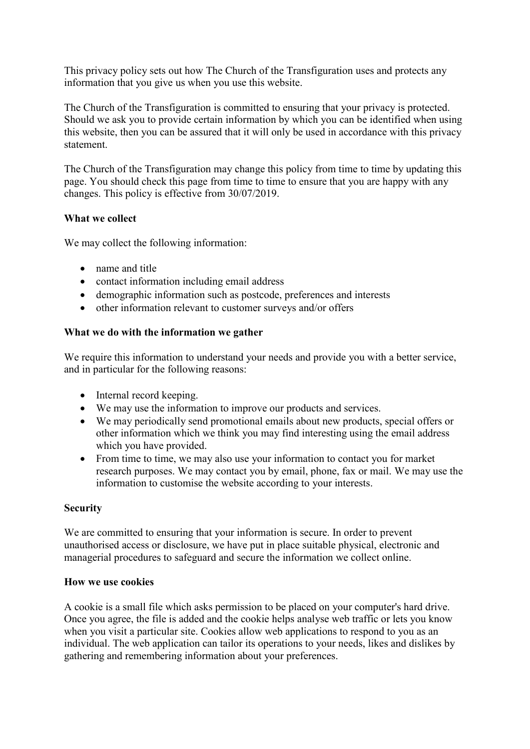This privacy policy sets out how The Church of the Transfiguration uses and protects any information that you give us when you use this website.

The Church of the Transfiguration is committed to ensuring that your privacy is protected. Should we ask you to provide certain information by which you can be identified when using this website, then you can be assured that it will only be used in accordance with this privacy statement.

The Church of the Transfiguration may change this policy from time to time by updating this page. You should check this page from time to time to ensure that you are happy with any changes. This policy is effective from 30/07/2019.

# **What we collect**

We may collect the following information:

- name and title
- contact information including email address
- demographic information such as postcode, preferences and interests
- other information relevant to customer surveys and/or offers

# **What we do with the information we gather**

We require this information to understand your needs and provide you with a better service, and in particular for the following reasons:

- Internal record keeping.
- We may use the information to improve our products and services.
- We may periodically send promotional emails about new products, special offers or other information which we think you may find interesting using the email address which you have provided.
- From time to time, we may also use your information to contact you for market research purposes. We may contact you by email, phone, fax or mail. We may use the information to customise the website according to your interests.

# **Security**

We are committed to ensuring that your information is secure. In order to prevent unauthorised access or disclosure, we have put in place suitable physical, electronic and managerial procedures to safeguard and secure the information we collect online.

### **How we use cookies**

A cookie is a small file which asks permission to be placed on your computer's hard drive. Once you agree, the file is added and the cookie helps analyse web traffic or lets you know when you visit a particular site. Cookies allow web applications to respond to you as an individual. The web application can tailor its operations to your needs, likes and dislikes by gathering and remembering information about your preferences.